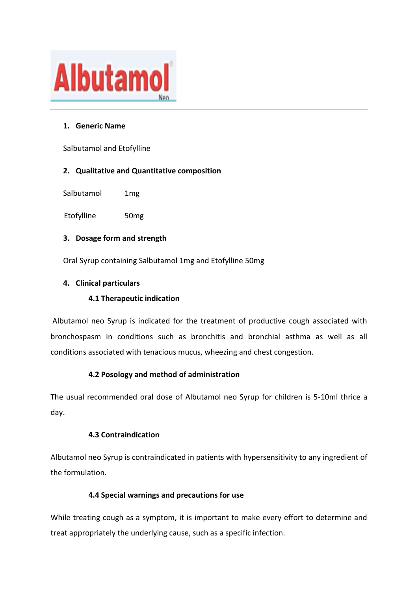

### **1. Generic Name**

Salbutamol and Etofylline

### **2. Qualitative and Quantitative composition**

Salbutamol 1mg

Etofylline 50mg

### **3. Dosage form and strength**

Oral Syrup containing Salbutamol 1mg and Etofylline 50mg

### **4. Clinical particulars**

### **4.1 Therapeutic indication**

Albutamol neo Syrup is indicated for the treatment of productive cough associated with bronchospasm in conditions such as bronchitis and bronchial asthma as well as all conditions associated with tenacious mucus, wheezing and chest congestion.

### **4.2 Posology and method of administration**

The usual recommended oral dose of Albutamol neo Syrup for children is 5-10ml thrice a day.

### **4.3 Contraindication**

Albutamol neo Syrup is contraindicated in patients with hypersensitivity to any ingredient of the formulation.

### **4.4 Special warnings and precautions for use**

While treating cough as a symptom, it is important to make every effort to determine and treat appropriately the underlying cause, such as a specific infection.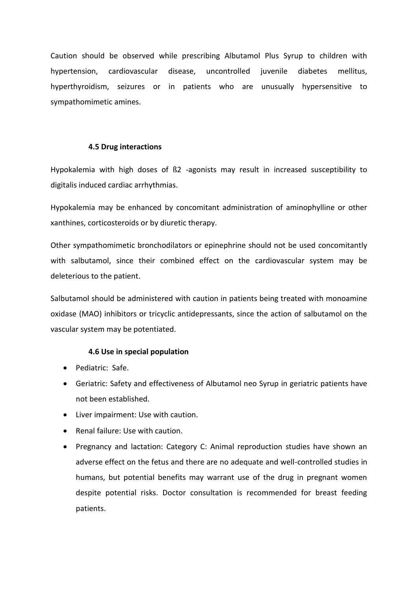Caution should be observed while prescribing Albutamol Plus Syrup to children with hypertension, cardiovascular disease, uncontrolled juvenile diabetes mellitus, hyperthyroidism, seizures or in patients who are unusually hypersensitive to sympathomimetic amines.

#### **4.5 Drug interactions**

Hypokalemia with high doses of ß2 -agonists may result in increased susceptibility to digitalis induced cardiac arrhythmias.

Hypokalemia may be enhanced by concomitant administration of aminophylline or other xanthines, corticosteroids or by diuretic therapy.

Other sympathomimetic bronchodilators or epinephrine should not be used concomitantly with salbutamol, since their combined effect on the cardiovascular system may be deleterious to the patient.

Salbutamol should be administered with caution in patients being treated with monoamine oxidase (MAO) inhibitors or tricyclic antidepressants, since the action of salbutamol on the vascular system may be potentiated.

#### **4.6 Use in special population**

- Pediatric: Safe.
- Geriatric: Safety and effectiveness of Albutamol neo Syrup in geriatric patients have not been established.
- Liver impairment: Use with caution.
- Renal failure: Use with caution.
- Pregnancy and lactation: Category C: Animal reproduction studies have shown an adverse effect on the fetus and there are no adequate and well-controlled studies in humans, but potential benefits may warrant use of the drug in pregnant women despite potential risks. Doctor consultation is recommended for breast feeding patients.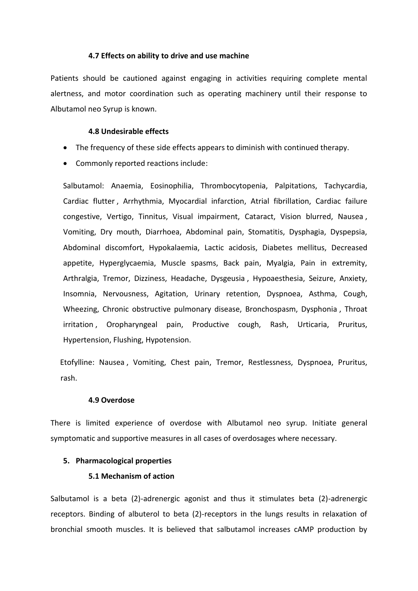#### **4.7 Effects on ability to drive and use machine**

Patients should be cautioned against engaging in activities requiring complete mental alertness, and motor coordination such as operating machinery until their response to Albutamol neo Syrup is known.

#### **4.8 Undesirable effects**

- The frequency of these side effects appears to diminish with continued therapy.
- Commonly reported reactions include:

Salbutamol: Anaemia, Eosinophilia, Thrombocytopenia, Palpitations, Tachycardia, Cardiac flutter , Arrhythmia, Myocardial infarction, Atrial fibrillation, Cardiac failure congestive, Vertigo, Tinnitus, Visual impairment, Cataract, Vision blurred, Nausea , Vomiting, Dry mouth, Diarrhoea, Abdominal pain, Stomatitis, Dysphagia, Dyspepsia, Abdominal discomfort, Hypokalaemia, Lactic acidosis, Diabetes mellitus, Decreased appetite, Hyperglycaemia, Muscle spasms, Back pain, Myalgia, Pain in extremity, Arthralgia, Tremor, Dizziness, Headache, Dysgeusia , Hypoaesthesia, Seizure, Anxiety, Insomnia, Nervousness, Agitation, Urinary retention, Dyspnoea, Asthma, Cough, Wheezing, Chronic obstructive pulmonary disease, Bronchospasm, Dysphonia , Throat irritation , Oropharyngeal pain, Productive cough, Rash, Urticaria, Pruritus, Hypertension, Flushing, Hypotension.

 Etofylline: Nausea , Vomiting, Chest pain, Tremor, Restlessness, Dyspnoea, Pruritus, rash.

#### **4.9 Overdose**

There is limited experience of overdose with Albutamol neo syrup. Initiate general symptomatic and supportive measures in all cases of overdosages where necessary.

#### **5. Pharmacological properties**

#### **5.1 Mechanism of action**

Salbutamol is a beta (2)-adrenergic agonist and thus it stimulates beta (2)-adrenergic receptors. Binding of albuterol to beta (2)-receptors in the lungs results in relaxation of bronchial smooth muscles. It is believed that salbutamol increases cAMP production by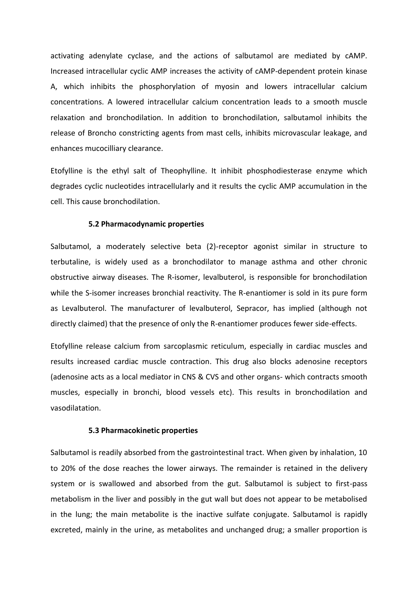activating adenylate cyclase, and the actions of salbutamol are mediated by cAMP. Increased intracellular cyclic AMP increases the activity of cAMP-dependent protein kinase A, which inhibits the phosphorylation of myosin and lowers intracellular calcium concentrations. A lowered intracellular calcium concentration leads to a smooth muscle relaxation and bronchodilation. In addition to bronchodilation, salbutamol inhibits the release of Broncho constricting agents from mast cells, inhibits microvascular leakage, and enhances mucocilliary clearance.

Etofylline is the ethyl salt of Theophylline. It inhibit phosphodiesterase enzyme which degrades cyclic nucleotides intracellularly and it results the cyclic AMP accumulation in the cell. This cause bronchodilation.

#### **5.2 Pharmacodynamic properties**

Salbutamol, a moderately selective beta (2)-receptor agonist similar in structure to terbutaline, is widely used as a bronchodilator to manage asthma and other chronic obstructive airway diseases. The R-isomer, levalbuterol, is responsible for bronchodilation while the S-isomer increases bronchial reactivity. The R-enantiomer is sold in its pure form as Levalbuterol. The manufacturer of levalbuterol, Sepracor, has implied (although not directly claimed) that the presence of only the R-enantiomer produces fewer side-effects.

Etofylline release calcium from sarcoplasmic reticulum, especially in cardiac muscles and results increased cardiac muscle contraction. This drug also blocks adenosine receptors (adenosine acts as a local mediator in CNS & CVS and other organs- which contracts smooth muscles, especially in bronchi, blood vessels etc). This results in bronchodilation and vasodilatation.

#### **5.3 Pharmacokinetic properties**

Salbutamol is readily absorbed from the gastrointestinal tract. When given by inhalation, 10 to 20% of the dose reaches the lower airways. The remainder is retained in the delivery system or is swallowed and absorbed from the gut. Salbutamol is subject to first-pass metabolism in the liver and possibly in the gut wall but does not appear to be metabolised in the lung; the main metabolite is the inactive sulfate conjugate. Salbutamol is rapidly excreted, mainly in the urine, as metabolites and unchanged drug; a smaller proportion is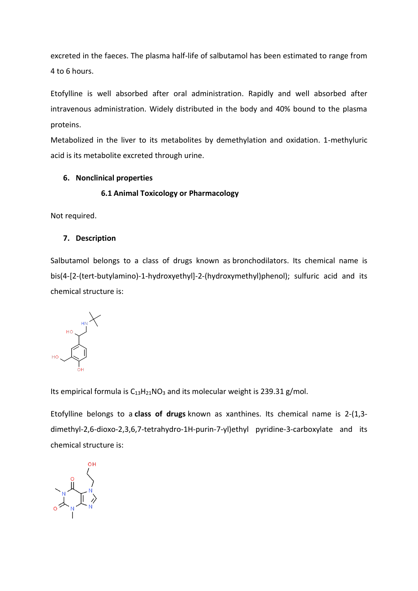excreted in the faeces. The plasma half-life of salbutamol has been estimated to range from 4 to 6 hours.

Etofylline is well absorbed after oral administration. Rapidly and well absorbed after intravenous administration. Widely distributed in the body and 40% bound to the plasma proteins.

Metabolized in the liver to its metabolites by demethylation and oxidation. 1-methyluric acid is its metabolite excreted through urine.

### **6. Nonclinical properties**

#### **6.1 Animal Toxicology or Pharmacology**

Not required.

#### **7. Description**

Salbutamol belongs to a class of drugs known as bronchodilators. Its chemical name is bis(4-[2-(tert-butylamino)-1-hydroxyethyl]-2-(hydroxymethyl)phenol); sulfuric acid and its chemical structure is:



Its empirical formula is  $C_{13}H_{21}NO_3$  and its molecular weight is 239.31 g/mol.

Etofylline belongs to a **class of drugs** known as xanthines. Its chemical name is 2-(1,3 dimethyl-2,6-dioxo-2,3,6,7-tetrahydro-1H-purin-7-yl)ethyl pyridine-3-carboxylate and its chemical structure is:

 $\begin{picture}(120,110) \put(0,0){\line(1,0){10}} \put(15,0){\line(1,0){10}} \put(15,0){\line(1,0){10}} \put(15,0){\line(1,0){10}} \put(15,0){\line(1,0){10}} \put(15,0){\line(1,0){10}} \put(15,0){\line(1,0){10}} \put(15,0){\line(1,0){10}} \put(15,0){\line(1,0){10}} \put(15,0){\line(1,0){10}} \put(15,0){\line(1,0){10}} \put(15,0){\line$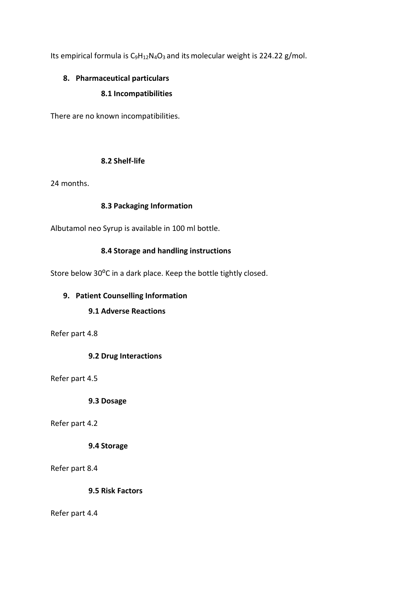Its empirical formula is  $C_9H_{12}N_4O_3$  and its molecular weight is 224.22 g/mol.

# **8. Pharmaceutical particulars**

### **8.1 Incompatibilities**

There are no known incompatibilities.

### **8.2 Shelf-life**

24 months.

### **8.3 Packaging Information**

Albutamol neo Syrup is available in 100 ml bottle.

### **8.4 Storage and handling instructions**

Store below 30°C in a dark place. Keep the bottle tightly closed.

### **9. Patient Counselling Information**

## **9.1 Adverse Reactions**

Refer part 4.8

**9.2 Drug Interactions**

Refer part 4.5

**9.3 Dosage**

Refer part 4.2

### **9.4 Storage**

Refer part 8.4

**9.5 Risk Factors**

Refer part 4.4